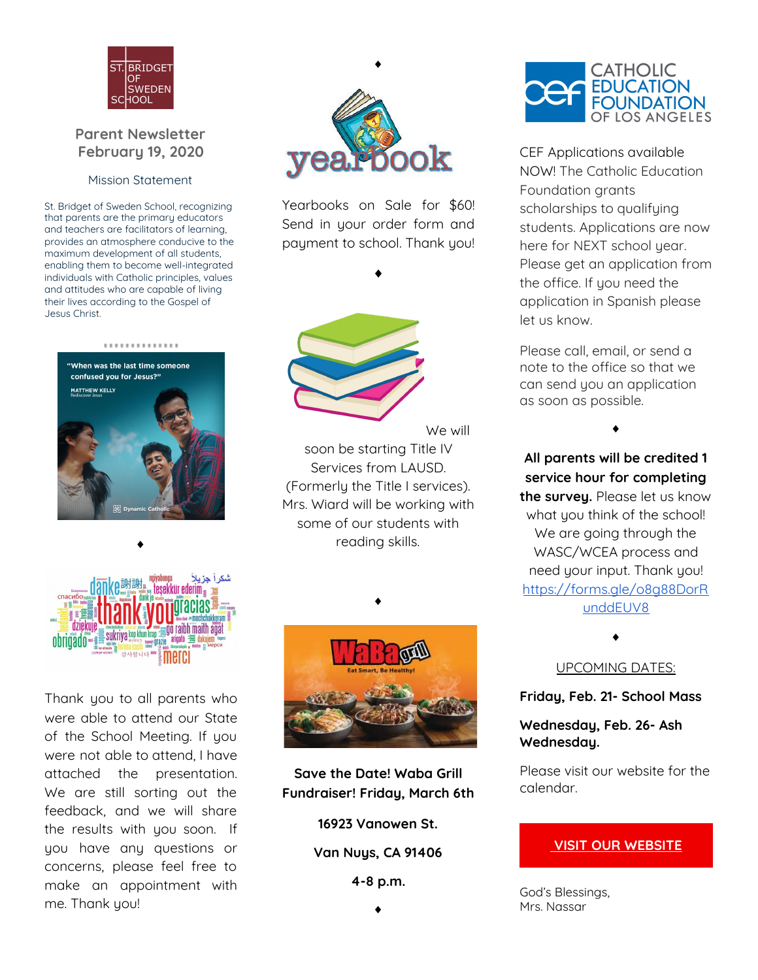

## **Parent Newsletter February 19, 2020**

## Mission Statement

St. Bridget of Sweden School, recognizing that parents are the primary educators and teachers are facilitators of learning, provides an atmosphere conducive to the maximum development of all students, enabling them to become well-integrated individuals with Catholic principles, values and attitudes who are capable of living their lives according to the Gospel of Jesus Christ.





♦

Yearbooks on Sale for \$60! Send in your order form and payment to school. Thank you!

♦



We will

soon be starting Title IV Services from LAUSD. (Formerly the Title I services). Mrs. Wiard will be working with some of our students with reading skills.



♦

Thank you to all parents who were able to attend our State of the School Meeting. If you were not able to attend, I have attached the presentation. We are still sorting out the feedback, and we will share the results with you soon. If you have any questions or concerns, please feel free to make an appointment with me. Thank you!



♦

**Save the Date! Waba Grill Fundraiser! Friday, March 6th**

**16923 Vanowen St.**

**Van Nuys, CA 91406**

**4-8 p.m.**



CEF Applications available NOW! The Catholic Education Foundation grants scholarships to qualifying students. Applications are now here for NEXT school year. Please get an application from the office. If you need the application in Spanish please let us know.

Please call, email, or send a note to the office so that we can send you an application as soon as possible.

♦

**All parents will be credited 1 service hour for completing the survey.** Please let us know what you think of the school! We are going through the WASC/WCEA process and need your input. Thank you! [https://forms.gle/o8g88DorR](https://forms.gle/o8g88DorRunddEUV8) [unddEUV8](https://forms.gle/o8g88DorRunddEUV8)

UPCOMING DATES:

♦

**Friday, Feb. 21- School Mass**

**Wednesday, Feb. 26- Ash Wednesday.**

Please visit our website for the calendar.

## **VISIT OUR [WEBSITE](http://www.stboss.org/)**

God's Blessings, Mrs. Nassar